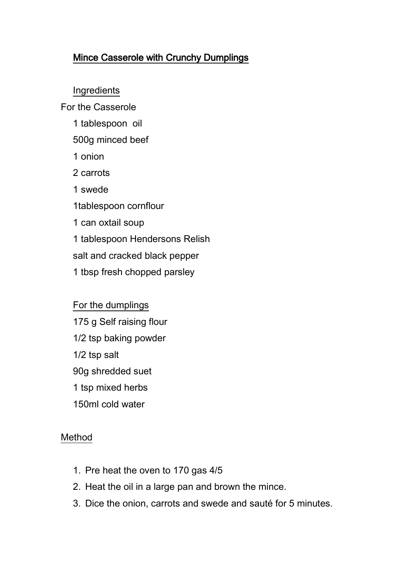## Mince Casserole with Crunchy Dumplings

Ingredients

For the Casserole

- 1 tablespoon oil
- 500g minced beef
- 1 onion
- 2 carrots
- 1 swede

1tablespoon cornflour

1 can oxtail soup

1 tablespoon Hendersons Relish

salt and cracked black pepper

1 tbsp fresh chopped parsley

For the dumplings 175 g Self raising flour 1/2 tsp baking powder 1/2 tsp salt 90g shredded suet 1 tsp mixed herbs 150ml cold water

## Method

- 1. Pre heat the oven to 170 gas 4/5
- 2. Heat the oil in a large pan and brown the mince.
- 3. Dice the onion, carrots and swede and sauté for 5 minutes.